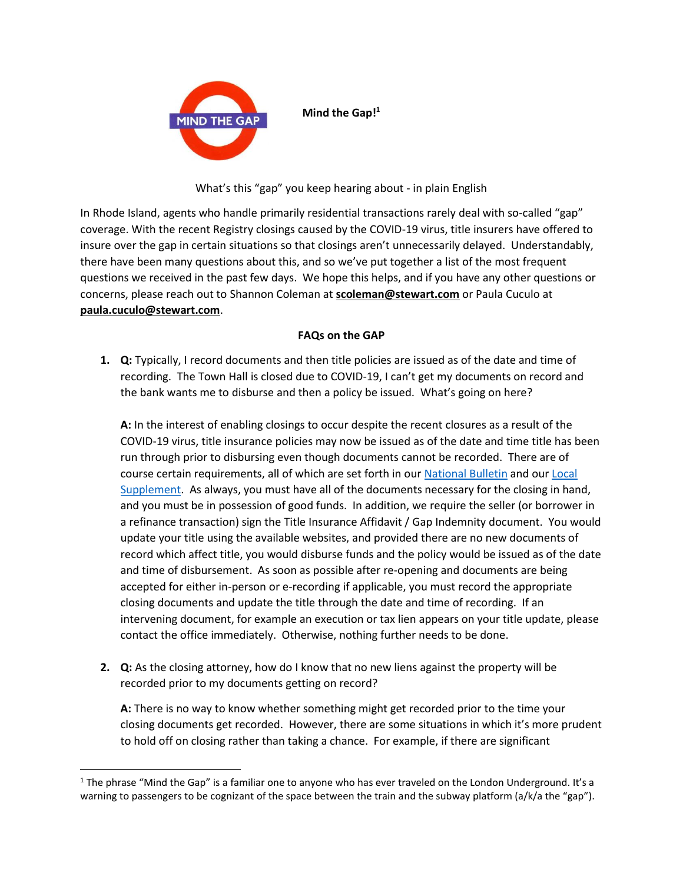

**Mind the Gap!<sup>1</sup>**

What's this "gap" you keep hearing about - in plain English

In Rhode Island, agents who handle primarily residential transactions rarely deal with so-called "gap" coverage. With the recent Registry closings caused by the COVID-19 virus, title insurers have offered to insure over the gap in certain situations so that closings aren't unnecessarily delayed. Understandably, there have been many questions about this, and so we've put together a list of the most frequent questions we received in the past few days. We hope this helps, and if you have any other questions or concerns, please reach out to Shannon Coleman at **scoleman@stewart.com** or Paula Cuculo at **paula.cuculo@stewart.com**.

## **FAQs on the GAP**

**1. Q:** Typically, I record documents and then title policies are issued as of the date and time of recording. The Town Hall is closed due to COVID-19, I can't get my documents on record and the bank wants me to disburse and then a policy be issued. What's going on here?

**A:** In the interest of enabling closings to occur despite the recent closures as a result of the COVID-19 virus, title insurance policies may now be issued as of the date and time title has been run through prior to disbursing even though documents cannot be recorded. There are of course certain requirements, all of which are set forth in our [National Bulletin](https://www.vuwriter.com/en/bulletins/2020-2/sls2020002.html) and our [Local](https://www.vuwriter.com/en/bulletins/2020-2/mu2020002.html)  [Supplement.](https://www.vuwriter.com/en/bulletins/2020-2/mu2020002.html) As always, you must have all of the documents necessary for the closing in hand, and you must be in possession of good funds. In addition, we require the seller (or borrower in a refinance transaction) sign the Title Insurance Affidavit / Gap Indemnity document. You would update your title using the available websites, and provided there are no new documents of record which affect title, you would disburse funds and the policy would be issued as of the date and time of disbursement. As soon as possible after re-opening and documents are being accepted for either in-person or e-recording if applicable, you must record the appropriate closing documents and update the title through the date and time of recording. If an intervening document, for example an execution or tax lien appears on your title update, please contact the office immediately. Otherwise, nothing further needs to be done.

**2. Q:** As the closing attorney, how do I know that no new liens against the property will be recorded prior to my documents getting on record?

**A:** There is no way to know whether something might get recorded prior to the time your closing documents get recorded. However, there are some situations in which it's more prudent to hold off on closing rather than taking a chance. For example, if there are significant

l

 $1$  The phrase "Mind the Gap" is a familiar one to anyone who has ever traveled on the London Underground. It's a warning to passengers to be cognizant of the space between the train and the subway platform (a/k/a the "gap").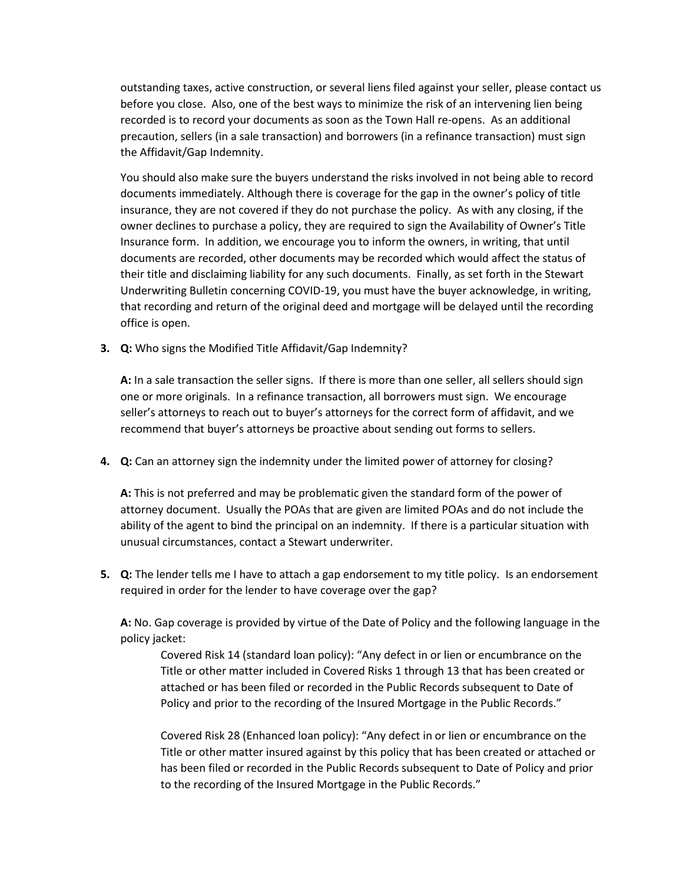outstanding taxes, active construction, or several liens filed against your seller, please contact us before you close. Also, one of the best ways to minimize the risk of an intervening lien being recorded is to record your documents as soon as the Town Hall re-opens. As an additional precaution, sellers (in a sale transaction) and borrowers (in a refinance transaction) must sign the Affidavit/Gap Indemnity.

You should also make sure the buyers understand the risks involved in not being able to record documents immediately. Although there is coverage for the gap in the owner's policy of title insurance, they are not covered if they do not purchase the policy. As with any closing, if the owner declines to purchase a policy, they are required to sign the Availability of Owner's Title Insurance form. In addition, we encourage you to inform the owners, in writing, that until documents are recorded, other documents may be recorded which would affect the status of their title and disclaiming liability for any such documents. Finally, as set forth in the Stewart Underwriting Bulletin concerning COVID-19, you must have the buyer acknowledge, in writing, that recording and return of the original deed and mortgage will be delayed until the recording office is open.

**3. Q:** Who signs the Modified Title Affidavit/Gap Indemnity?

**A:** In a sale transaction the seller signs. If there is more than one seller, all sellers should sign one or more originals. In a refinance transaction, all borrowers must sign. We encourage seller's attorneys to reach out to buyer's attorneys for the correct form of affidavit, and we recommend that buyer's attorneys be proactive about sending out forms to sellers.

**4. Q:** Can an attorney sign the indemnity under the limited power of attorney for closing?

**A:** This is not preferred and may be problematic given the standard form of the power of attorney document. Usually the POAs that are given are limited POAs and do not include the ability of the agent to bind the principal on an indemnity. If there is a particular situation with unusual circumstances, contact a Stewart underwriter.

**5. Q:** The lender tells me I have to attach a gap endorsement to my title policy. Is an endorsement required in order for the lender to have coverage over the gap?

**A:** No. Gap coverage is provided by virtue of the Date of Policy and the following language in the policy jacket:

Covered Risk 14 (standard loan policy): "Any defect in or lien or encumbrance on the Title or other matter included in Covered Risks 1 through 13 that has been created or attached or has been filed or recorded in the Public Records subsequent to Date of Policy and prior to the recording of the Insured Mortgage in the Public Records."

Covered Risk 28 (Enhanced loan policy): "Any defect in or lien or encumbrance on the Title or other matter insured against by this policy that has been created or attached or has been filed or recorded in the Public Records subsequent to Date of Policy and prior to the recording of the Insured Mortgage in the Public Records."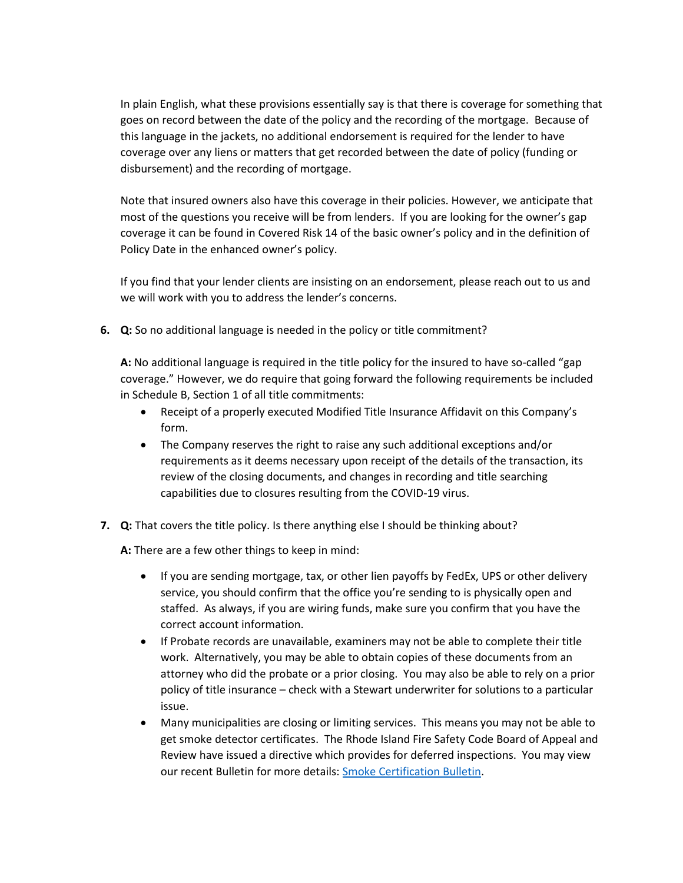In plain English, what these provisions essentially say is that there is coverage for something that goes on record between the date of the policy and the recording of the mortgage. Because of this language in the jackets, no additional endorsement is required for the lender to have coverage over any liens or matters that get recorded between the date of policy (funding or disbursement) and the recording of mortgage.

Note that insured owners also have this coverage in their policies. However, we anticipate that most of the questions you receive will be from lenders. If you are looking for the owner's gap coverage it can be found in Covered Risk 14 of the basic owner's policy and in the definition of Policy Date in the enhanced owner's policy.

If you find that your lender clients are insisting on an endorsement, please reach out to us and we will work with you to address the lender's concerns.

**6. Q:** So no additional language is needed in the policy or title commitment?

**A:** No additional language is required in the title policy for the insured to have so-called "gap coverage." However, we do require that going forward the following requirements be included in Schedule B, Section 1 of all title commitments:

- Receipt of a properly executed Modified Title Insurance Affidavit on this Company's form.
- The Company reserves the right to raise any such additional exceptions and/or requirements as it deems necessary upon receipt of the details of the transaction, its review of the closing documents, and changes in recording and title searching capabilities due to closures resulting from the COVID-19 virus.
- **7. Q:** That covers the title policy. Is there anything else I should be thinking about?

**A:** There are a few other things to keep in mind:

- If you are sending mortgage, tax, or other lien payoffs by FedEx, UPS or other delivery service, you should confirm that the office you're sending to is physically open and staffed. As always, if you are wiring funds, make sure you confirm that you have the correct account information.
- If Probate records are unavailable, examiners may not be able to complete their title work. Alternatively, you may be able to obtain copies of these documents from an attorney who did the probate or a prior closing. You may also be able to rely on a prior policy of title insurance – check with a Stewart underwriter for solutions to a particular issue.
- Many municipalities are closing or limiting services. This means you may not be able to get smoke detector certificates. The Rhode Island Fire Safety Code Board of Appeal and Review have issued a directive which provides for deferred inspections. You may view our recent Bulletin for more details: [Smoke Certification Bulletin.](https://www.vuwriter.com/en/bulletins/2020-2/ri2020002.html)